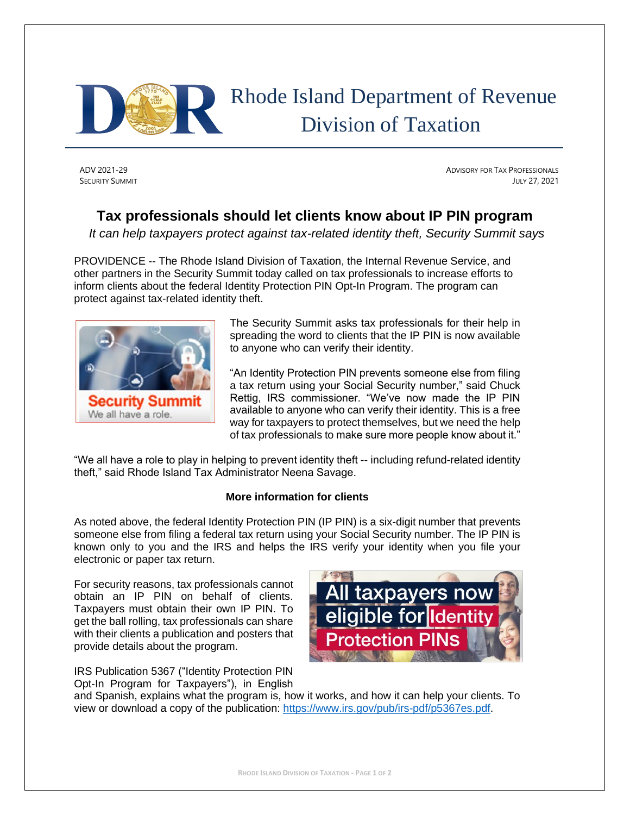

## Rhode Island Department of Revenue Division of Taxation

ADV 2021-29 ADVISORY FOR TAX PROFESSIONALS SECURITY SUMMIT **SUMMIT SUMMIT SUMMIT SUMMIT SUMMIT SUMMIT** *SECURITY SUMMIT* **<b>***SUMMIT SUMMIT SUMMIT* 

## **Tax professionals should let clients know about IP PIN program**

*It can help taxpayers protect against tax-related identity theft, Security Summit says*

PROVIDENCE -- The Rhode Island Division of Taxation, the Internal Revenue Service, and other partners in the Security Summit today called on tax professionals to increase efforts to inform clients about the federal Identity Protection PIN Opt-In Program. The program can protect against tax-related identity theft.



The Security Summit asks tax professionals for their help in spreading the word to clients that the IP PIN is now available to anyone who can verify their identity.

"An Identity Protection PIN prevents someone else from filing a tax return using your Social Security number," said Chuck Rettig, IRS commissioner. "We've now made the IP PIN available to anyone who can verify their identity. This is a free way for taxpayers to protect themselves, but we need the help of tax professionals to make sure more people know about it."

"We all have a role to play in helping to prevent identity theft -- including refund-related identity theft," said Rhode Island Tax Administrator Neena Savage.

## **More information for clients**

As noted above, the federal Identity Protection PIN (IP PIN) is a six-digit number that prevents someone else from filing a federal tax return using your Social Security number. The IP PIN is known only to you and the IRS and helps the IRS verify your identity when you file your electronic or paper tax return.

For security reasons, tax professionals cannot obtain an IP PIN on behalf of clients. Taxpayers must obtain their own IP PIN. To get the ball rolling, tax professionals can share with their clients a publication and posters that provide details about the program.

IRS Publication 5367 ("Identity Protection PIN Opt-In Program for Taxpayers"), in English



and Spanish, explains what the program is, how it works, and how it can help your clients. To view or download a copy of the publication: [https://www.irs.gov/pub/irs-pdf/p5367es.pdf.](https://www.irs.gov/pub/irs-pdf/p5367es.pdf)